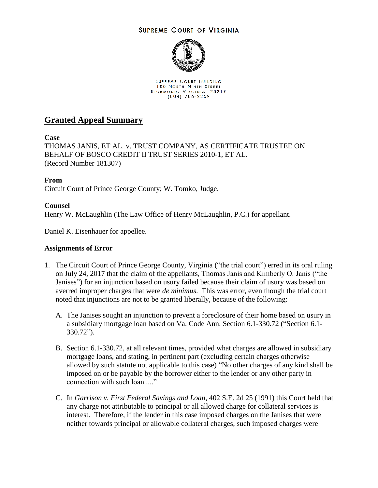## **SUPREME COURT OF VIRGINIA**



SUPREME COURT BUILDING 100 NORTH NINTH STREET RICHMOND, VIRGINIA 23219<br>(804) 786-2259

## **Granted Appeal Summary**

**Case**

THOMAS JANIS, ET AL. v. TRUST COMPANY, AS CERTIFICATE TRUSTEE ON BEHALF OF BOSCO CREDIT II TRUST SERIES 2010-1, ET AL. (Record Number 181307)

**From**

Circuit Court of Prince George County; W. Tomko, Judge.

## **Counsel**

Henry W. McLaughlin (The Law Office of Henry McLaughlin, P.C.) for appellant.

Daniel K. Eisenhauer for appellee.

## **Assignments of Error**

- 1. The Circuit Court of Prince George County, Virginia ("the trial court") erred in its oral ruling on July 24, 2017 that the claim of the appellants, Thomas Janis and Kimberly O. Janis ("the Janises") for an injunction based on usury failed because their claim of usury was based on averred improper charges that were *de minimus*. This was error, even though the trial court noted that injunctions are not to be granted liberally, because of the following:
	- A. The Janises sought an injunction to prevent a foreclosure of their home based on usury in a subsidiary mortgage loan based on Va. Code Ann. Section 6.1-330.72 ("Section 6.1- 330.72").
	- B. Section 6.1-330.72, at all relevant times, provided what charges are allowed in subsidiary mortgage loans, and stating, in pertinent part (excluding certain charges otherwise allowed by such statute not applicable to this case) "No other charges of any kind shall be imposed on or be payable by the borrower either to the lender or any other party in connection with such loan ...."
	- C. In *Garrison v. First Federal Savings and Loan*, 402 S.E. 2d 25 (1991) this Court held that any charge not attributable to principal or all allowed charge for collateral services is interest. Therefore, if the lender in this case imposed charges on the Janises that were neither towards principal or allowable collateral charges, such imposed charges were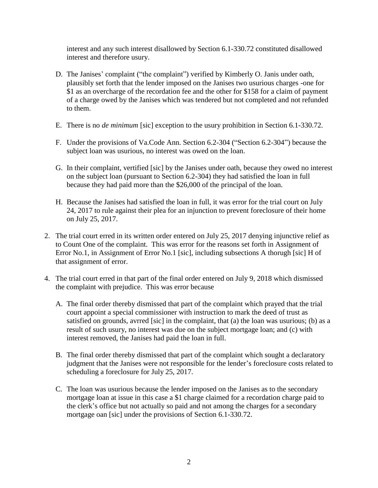interest and any such interest disallowed by Section 6.1-330.72 constituted disallowed interest and therefore usury.

- D. The Janises' complaint ("the complaint") verified by Kimberly O. Janis under oath, plausibly set forth that the lender imposed on the Janises two usurious charges -one for \$1 as an overcharge of the recordation fee and the other for \$158 for a claim of payment of a charge owed by the Janises which was tendered but not completed and not refunded to them.
- E. There is no *de minimum* [sic] exception to the usury prohibition in Section 6.1-330.72.
- F. Under the provisions of Va.Code Ann. Section 6.2-304 ("Section 6.2-304") because the subject loan was usurious, no interest was owed on the loan.
- G. In their complaint, vertified [sic] by the Janises under oath, because they owed no interest on the subject loan (pursuant to Section 6.2-304) they had satisfied the loan in full because they had paid more than the \$26,000 of the principal of the loan.
- H. Because the Janises had satisfied the loan in full, it was error for the trial court on July 24, 2017 to rule against their plea for an injunction to prevent foreclosure of their home on July 25, 2017.
- 2. The trial court erred in its written order entered on July 25, 2017 denying injunctive relief as to Count One of the complaint. This was error for the reasons set forth in Assignment of Error No.1, in Assignment of Error No.1 [sic], including subsections A thorugh [sic] H of that assignment of error.
- 4. The trial court erred in that part of the final order entered on July 9, 2018 which dismissed the complaint with prejudice. This was error because
	- A. The final order thereby dismissed that part of the complaint which prayed that the trial court appoint a special commissioner with instruction to mark the deed of trust as satisfied on grounds, avrred [sic] in the complaint, that (a) the loan was usurious; (b) as a result of such usury, no interest was due on the subject mortgage loan; and (c) with interest removed, the Janises had paid the loan in full.
	- B. The final order thereby dismissed that part of the complaint which sought a declaratory judgment that the Janises were not responsible for the lender's foreclosure costs related to scheduling a foreclosure for July 25, 2017.
	- C. The loan was usurious because the lender imposed on the Janises as to the secondary mortgage loan at issue in this case a \$1 charge claimed for a recordation charge paid to the clerk's office but not actually so paid and not among the charges for a secondary mortgage oan [sic] under the provisions of Section 6.1-330.72.